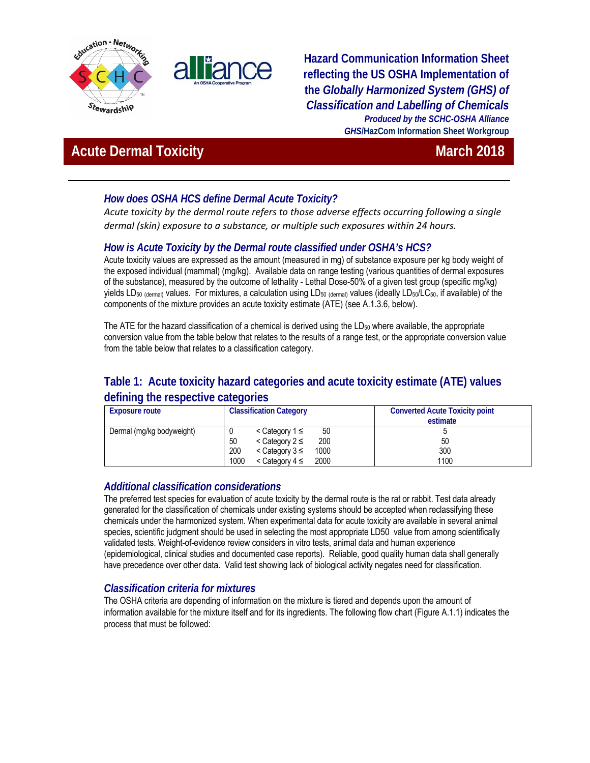



### **Hazard Communication Information Sheet reflecting the US OSHA Implementation of the** *Globally Harmonized System (GHS) of Classification and Labelling of Chemicals Produced by the SCHC-OSHA Alliance GHS***/HazCom Information Sheet Workgroup**

# **Acute Dermal Toxicity March 2018** March 2018

### *How does OSHA HCS define Dermal Acute Toxicity?*

*Acute toxicity by the dermal route refers to those adverse effects occurring following a single dermal (skin) exposure to a substance, or multiple such exposures within 24 hours.*

### *How is Acute Toxicity by the Dermal route classified under OSHA's HCS?*

Acute toxicity values are expressed as the amount (measured in mg) of substance exposure per kg body weight of the exposed individual (mammal) (mg/kg). Available data on range testing (various quantities of dermal exposures of the substance), measured by the outcome of lethality - Lethal Dose-50% of a given test group (specific mg/kg) yields LD<sub>50</sub> (dermal) values. For mixtures, a calculation using LD<sub>50</sub> (dermal) values (ideally LD<sub>50</sub>/LC<sub>50</sub>, if available) of the components of the mixture provides an acute toxicity estimate (ATE) (see A.1.3.6, below).

The ATE for the hazard classification of a chemical is derived using the  $LD_{50}$  where available, the appropriate conversion value from the table below that relates to the results of a range test, or the appropriate conversion value from the table below that relates to a classification category.

## **Table 1: Acute toxicity hazard categories and acute toxicity estimate (ATE) values defining the respective categories**

| <b>Exposure route</b>     | <b>Classification Category</b>           | <b>Converted Acute Toxicity point</b> |
|---------------------------|------------------------------------------|---------------------------------------|
|                           |                                          | estimate                              |
| Dermal (mg/kg bodyweight) | 50<br>$\leq$ Category 1 ≤                |                                       |
|                           | 50<br>200<br>$\leq$ Category 2 $\leq$    | 50                                    |
|                           | 200<br>1000<br>$\leq$ Category 3 ≤       | 300                                   |
|                           | 1000<br>2000<br>$\leq$ Category 4 $\leq$ | 1100                                  |

### *Additional classification considerations*

The preferred test species for evaluation of acute toxicity by the dermal route is the rat or rabbit. Test data already generated for the classification of chemicals under existing systems should be accepted when reclassifying these chemicals under the harmonized system. When experimental data for acute toxicity are available in several animal species, scientific judgment should be used in selecting the most appropriate LD50 value from among scientifically validated tests. Weight-of-evidence review considers in vitro tests, animal data and human experience (epidemiological, clinical studies and documented case reports). Reliable, good quality human data shall generally have precedence over other data. Valid test showing lack of biological activity negates need for classification.

### *Classification criteria for mixtures*

The OSHA criteria are depending of information on the mixture is tiered and depends upon the amount of information available for the mixture itself and for its ingredients. The following flow chart (Figure A.1.1) indicates the process that must be followed: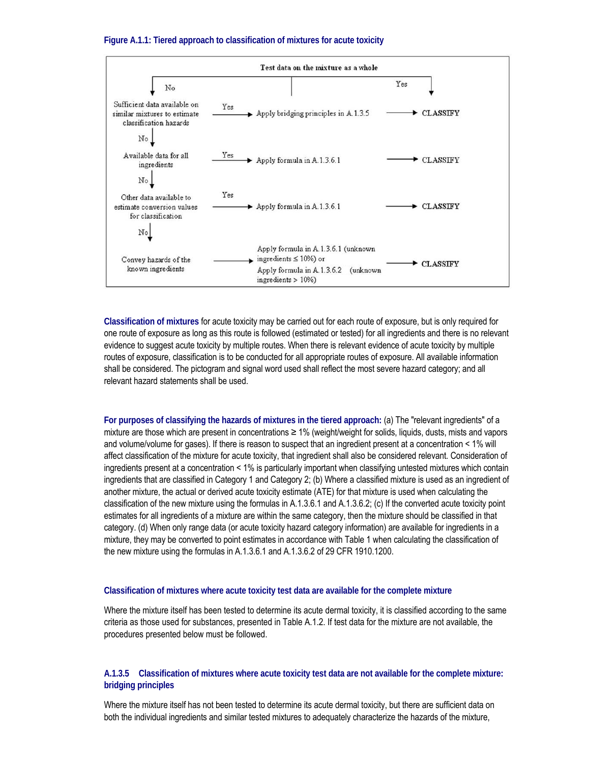#### **Figure A.1.1: Tiered approach to classification of mixtures for acute toxicity**



**Classification of mixtures** for acute toxicity may be carried out for each route of exposure, but is only required for one route of exposure as long as this route is followed (estimated or tested) for all ingredients and there is no relevant evidence to suggest acute toxicity by multiple routes. When there is relevant evidence of acute toxicity by multiple routes of exposure, classification is to be conducted for all appropriate routes of exposure. All available information shall be considered. The pictogram and signal word used shall reflect the most severe hazard category; and all relevant hazard statements shall be used.

**For purposes of classifying the hazards of mixtures in the tiered approach:** (a) The "relevant ingredients" of a mixture are those which are present in concentrations ≥ 1% (weight/weight for solids, liquids, dusts, mists and vapors and volume/volume for gases). If there is reason to suspect that an ingredient present at a concentration < 1% will affect classification of the mixture for acute toxicity, that ingredient shall also be considered relevant. Consideration of ingredients present at a concentration < 1% is particularly important when classifying untested mixtures which contain ingredients that are classified in Category 1 and Category 2; (b) Where a classified mixture is used as an ingredient of another mixture, the actual or derived acute toxicity estimate (ATE) for that mixture is used when calculating the classification of the new mixture using the formulas in A.1.3.6.1 and A.1.3.6.2; (c) If the converted acute toxicity point estimates for all ingredients of a mixture are within the same category, then the mixture should be classified in that category. (d) When only range data (or acute toxicity hazard category information) are available for ingredients in a mixture, they may be converted to point estimates in accordance with Table 1 when calculating the classification of the new mixture using the formulas in A.1.3.6.1 and A.1.3.6.2 of 29 CFR 1910.1200.

### **Classification of mixtures where acute toxicity test data are available for the complete mixture**

Where the mixture itself has been tested to determine its acute dermal toxicity, it is classified according to the same criteria as those used for substances, presented in Table A.1.2. If test data for the mixture are not available, the procedures presented below must be followed.

### **A.1.3.5 Classification of mixtures where acute toxicity test data are not available for the complete mixture: bridging principles**

Where the mixture itself has not been tested to determine its acute dermal toxicity, but there are sufficient data on both the individual ingredients and similar tested mixtures to adequately characterize the hazards of the mixture,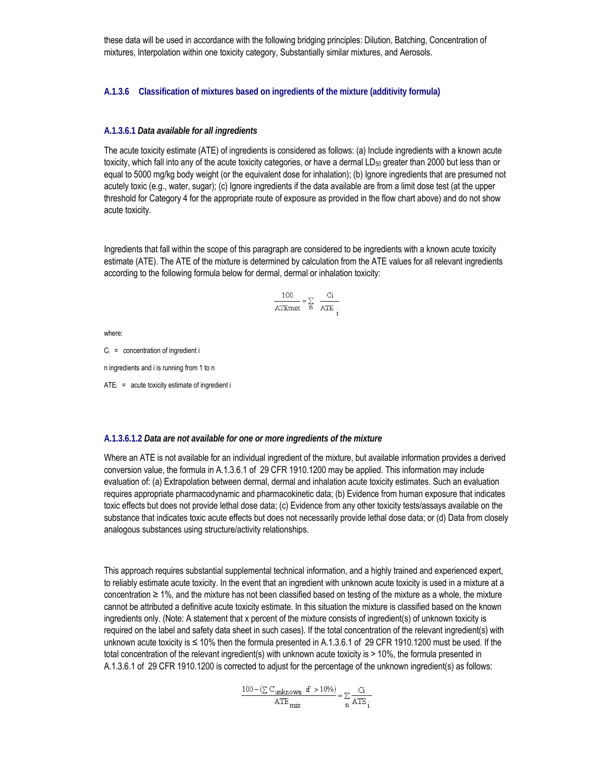these data will be used in accordance with the following bridging principles: Dilution, Batching, Concentration of mixtures, Interpolation within one toxicity category, Substantially similar mixtures, and Aerosols.

#### **A.1.3.6 Classification of mixtures based on ingredients of the mixture (additivity formula)**

#### **A.1.3.6.1** *Data available for all ingredients*

The acute toxicity estimate (ATE) of ingredients is considered as follows: (a) Include ingredients with a known acute toxicity, which fall into any of the acute toxicity categories, or have a dermal LD<sub>50</sub> greater than 2000 but less than or equal to 5000 mg/kg body weight (or the equivalent dose for inhalation); (b) Ignore ingredients that are presumed not acutely toxic (e.g., water, sugar); (c) Ignore ingredients if the data available are from a limit dose test (at the upper threshold for Category 4 for the appropriate route of exposure as provided in the flow chart above) and do not show acute toxicity.

Ingredients that fall within the scope of this paragraph are considered to be ingredients with a known acute toxicity estimate (ATE). The ATE of the mixture is determined by calculation from the ATE values for all relevant ingredients according to the following formula below for dermal, dermal or inhalation toxicity:

$$
\frac{100}{\text{ATEmix}} = \sum_{n} \frac{\text{Ci}}{\text{ATE}_{i}}
$$

where:

 $C_i$  = concentration of ingredient i

n ingredients and i is running from 1 to n

 $ATE<sub>i</sub>$  = acute toxicity estimate of ingredient i

#### **A.1.3.6.1.2** *Data are not available for one or more ingredients of the mixture*

Where an ATE is not available for an individual ingredient of the mixture, but available information provides a derived conversion value, the formula in A.1.3.6.1 of 29 CFR 1910.1200 may be applied. This information may include evaluation of: (a) Extrapolation between dermal, dermal and inhalation acute toxicity estimates. Such an evaluation requires appropriate pharmacodynamic and pharmacokinetic data; (b) Evidence from human exposure that indicates toxic effects but does not provide lethal dose data; (c) Evidence from any other toxicity tests/assays available on the substance that indicates toxic acute effects but does not necessarily provide lethal dose data; or (d) Data from closely analogous substances using structure/activity relationships.

This approach requires substantial supplemental technical information, and a highly trained and experienced expert, to reliably estimate acute toxicity. In the event that an ingredient with unknown acute toxicity is used in a mixture at a concentration ≥ 1%, and the mixture has not been classified based on testing of the mixture as a whole, the mixture cannot be attributed a definitive acute toxicity estimate. In this situation the mixture is classified based on the known ingredients only. (Note: A statement that x percent of the mixture consists of ingredient(s) of unknown toxicity is required on the label and safety data sheet in such cases). If the total concentration of the relevant ingredient(s) with unknown acute toxicity is ≤ 10% then the formula presented in A.1.3.6.1 of 29 CFR 1910.1200 must be used. If the total concentration of the relevant ingredient(s) with unknown acute toxicity is > 10%, the formula presented in A.1.3.6.1 of 29 CFR 1910.1200 is corrected to adjust for the percentage of the unknown ingredient(s) as follows:

$$
\frac{100 - \left(\sum C_{unknown} \text{ if } > 10\%\right)}{\text{ATE}_{mix}} = \sum_{n} \frac{Ci}{ATE_{i}}
$$